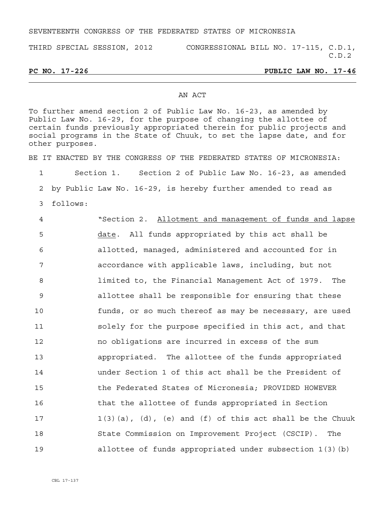## SEVENTEENTH CONGRESS OF THE FEDERATED STATES OF MICRONESIA

THIRD SPECIAL SESSION, 2012 CONGRESSIONAL BILL NO. 17-115, C.D.1,

C.D.2

**PC NO. 17-226 PUBLIC LAW NO. 17-46** 

## AN ACT

To further amend section 2 of Public Law No. 16-23, as amended by Public Law No. 16-29, for the purpose of changing the allottee of certain funds previously appropriated therein for public projects and social programs in the State of Chuuk, to set the lapse date, and for other purposes.

BE IT ENACTED BY THE CONGRESS OF THE FEDERATED STATES OF MICRONESIA:

1 Section 1. Section 2 of Public Law No. 16-23, as amended

2 by Public Law No. 16-29, is hereby further amended to read as

3 follows:

4 "Section 2. Allotment and management of funds and lapse 5 date. All funds appropriated by this act shall be 6 allotted, managed, administered and accounted for in 7 accordance with applicable laws, including, but not 8 limited to, the Financial Management Act of 1979. The 9 allottee shall be responsible for ensuring that these 10 funds, or so much thereof as may be necessary, are used 11 solely for the purpose specified in this act, and that 12 no obligations are incurred in excess of the sum 13 appropriated. The allottee of the funds appropriated 14 under Section 1 of this act shall be the President of 15 the Federated States of Micronesia; PROVIDED HOWEVER 16 that the allottee of funds appropriated in Section 17 1(3)(a), (d), (e) and (f) of this act shall be the Chuuk 18 State Commission on Improvement Project (CSCIP). The 19 allottee of funds appropriated under subsection 1(3)(b)